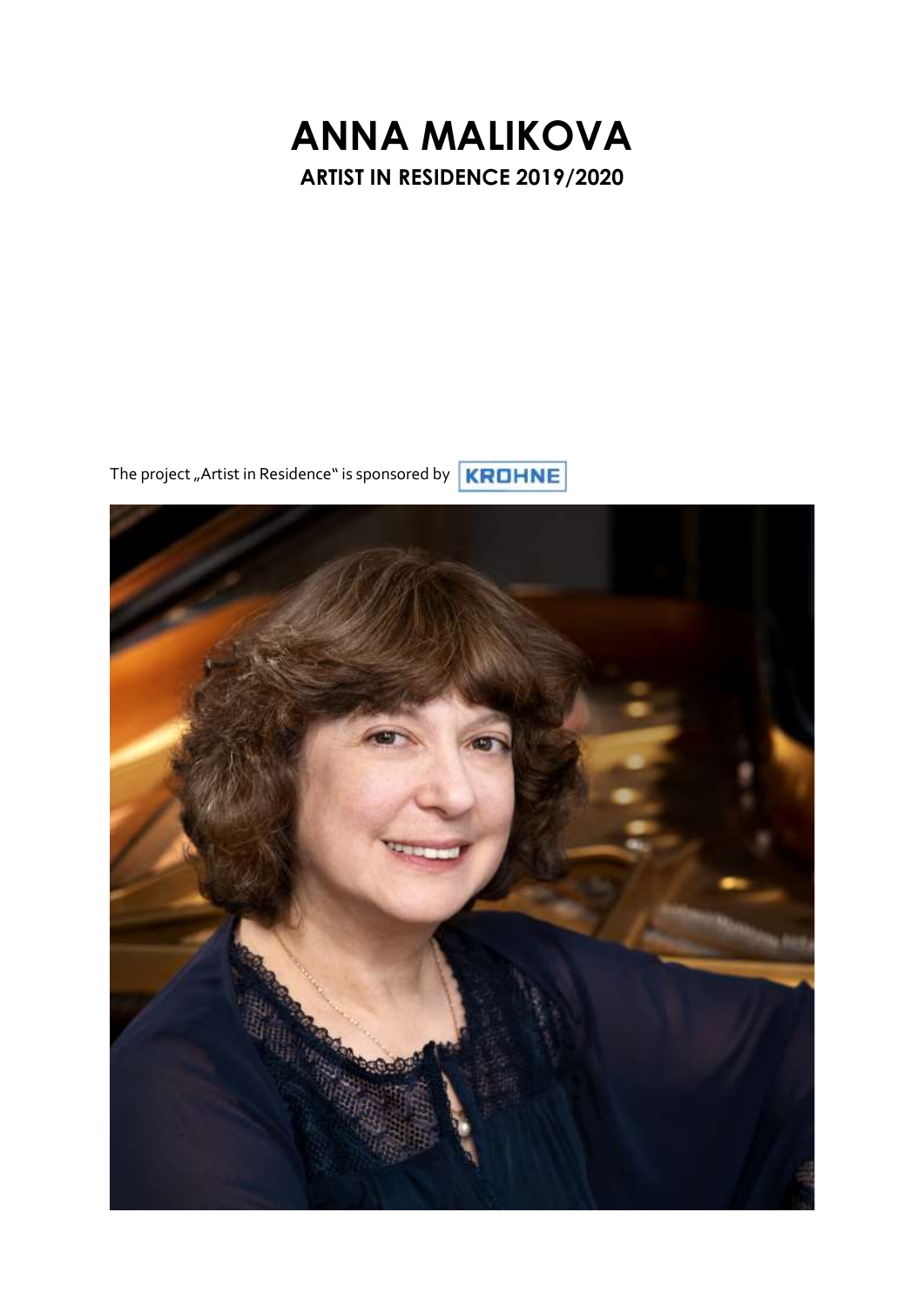

The project "Artist in Residence" is sponsored by  $\boxed{\text{KRIHNE}}$ 

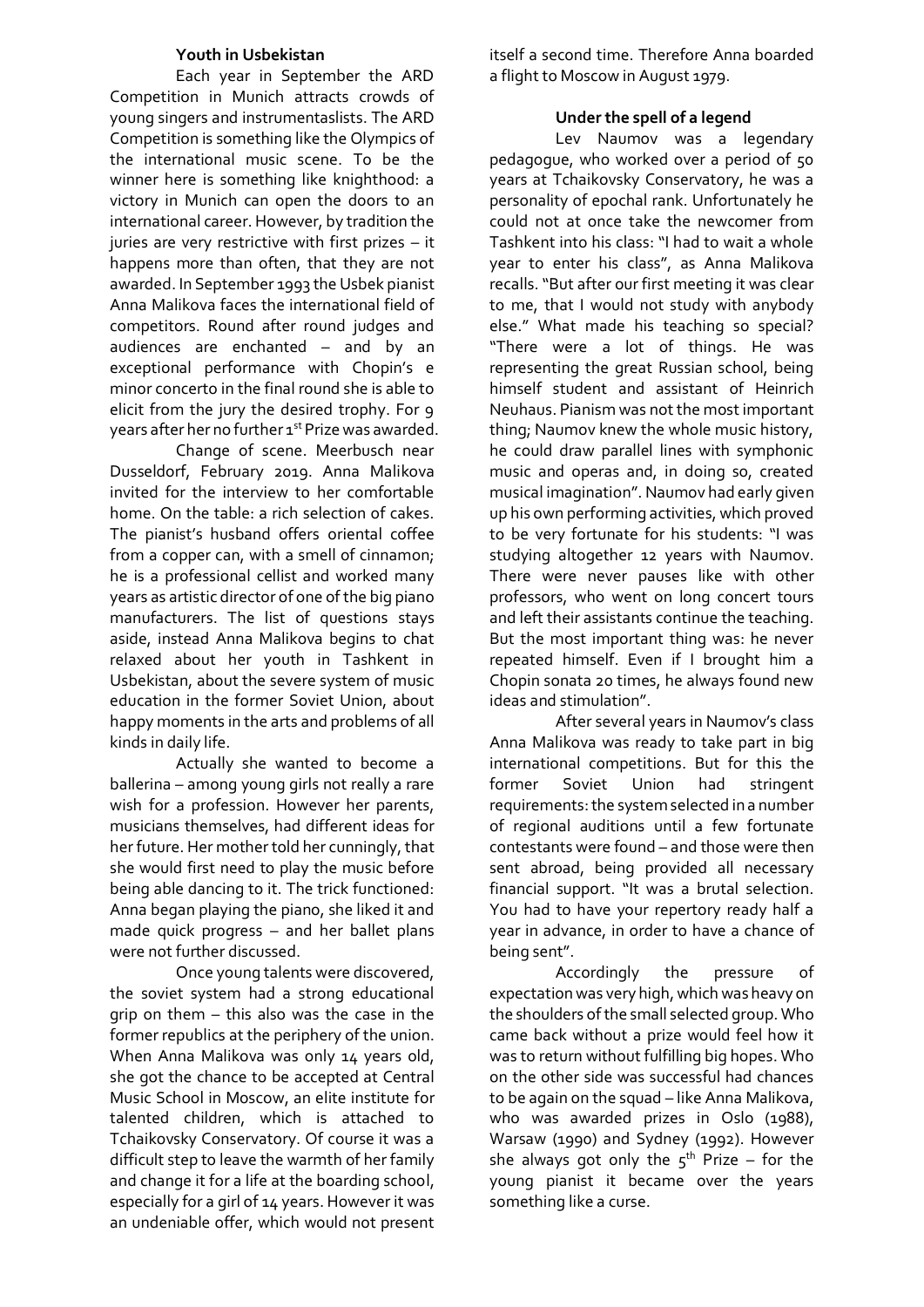# **Youth in Usbekistan**

Each year in September the ARD Competition in Munich attracts crowds of young singers and instrumentaslists. The ARD Competition is something like the Olympics of the international music scene. To be the winner here is something like knighthood: a victory in Munich can open the doors to an international career. However, by tradition the juries are very restrictive with first prizes – it happens more than often, that they are not awarded. In September 1993 the Usbek pianist Anna Malikova faces the international field of competitors. Round after round judges and audiences are enchanted – and by an exceptional performance with Chopin's e minor concerto in the final round she is able to elicit from the jury the desired trophy. For 9 years after her no further 1<sup>st</sup> Prize was awarded.

Change of scene. Meerbusch near Dusseldorf, February 2019. Anna Malikova invited for the interview to her comfortable home. On the table: a rich selection of cakes. The pianist's husband offers oriental coffee from a copper can, with a smell of cinnamon; he is a professional cellist and worked many years as artistic director of one of the big piano manufacturers. The list of questions stays aside, instead Anna Malikova begins to chat relaxed about her youth in Tashkent in Usbekistan, about the severe system of music education in the former Soviet Union, about happy moments in the arts and problems of all kinds in daily life.

Actually she wanted to become a ballerina – among young girls not really a rare wish for a profession. However her parents, musicians themselves, had different ideas for her future. Her mother told her cunningly, that she would first need to play the music before being able dancing to it. The trick functioned: Anna began playing the piano, she liked it and made quick progress – and her ballet plans were not further discussed.

Once young talents were discovered, the soviet system had a strong educational grip on them – this also was the case in the former republics at the periphery of the union. When Anna Malikova was only 14 years old, she got the chance to be accepted at Central Music School in Moscow, an elite institute for talented children, which is attached to Tchaikovsky Conservatory. Of course it was a difficult step to leave the warmth of her family and change it for a life at the boarding school, especially for a girl of 14 years. However it was an undeniable offer, which would not present itself a second time. Therefore Anna boarded a flight to Moscow in August 1979.

## **Under the spell of a legend**

Lev Naumov was a legendary pedagogue, who worked over a period of 50 years at Tchaikovsky Conservatory, he was a personality of epochal rank. Unfortunately he could not at once take the newcomer from Tashkent into his class: "I had to wait a whole year to enter his class", as Anna Malikova recalls. "But after our first meeting it was clear to me, that I would not study with anybody else." What made his teaching so special? "There were a lot of things. He was representing the great Russian school, being himself student and assistant of Heinrich Neuhaus. Pianism was not the most important thing; Naumov knew the whole music history, he could draw parallel lines with symphonic music and operas and, in doing so, created musical imagination". Naumov had early given up his own performing activities, which proved to be very fortunate for his students: "I was studying altogether 12 years with Naumov. There were never pauses like with other professors, who went on long concert tours and left their assistants continue the teaching. But the most important thing was: he never repeated himself. Even if I brought him a Chopin sonata 20 times, he always found new ideas and stimulation".

After several years in Naumov's class Anna Malikova was ready to take part in big international competitions. But for this the former Soviet Union had stringent requirements: the system selected in a number of regional auditions until a few fortunate contestants were found – and those were then sent abroad, being provided all necessary financial support. "It was a brutal selection. You had to have your repertory ready half a year in advance, in order to have a chance of being sent".

Accordingly the pressure of expectation was very high, which was heavy on the shoulders of the small selected group. Who came back without a prize would feel how it was to return without fulfilling big hopes. Who on the other side was successful had chances to be again on the squad – like Anna Malikova, who was awarded prizes in Oslo (1988), Warsaw (1990) and Sydney (1992). However she always got only the  $5^{th}$  Prize – for the young pianist it became over the years something like a curse.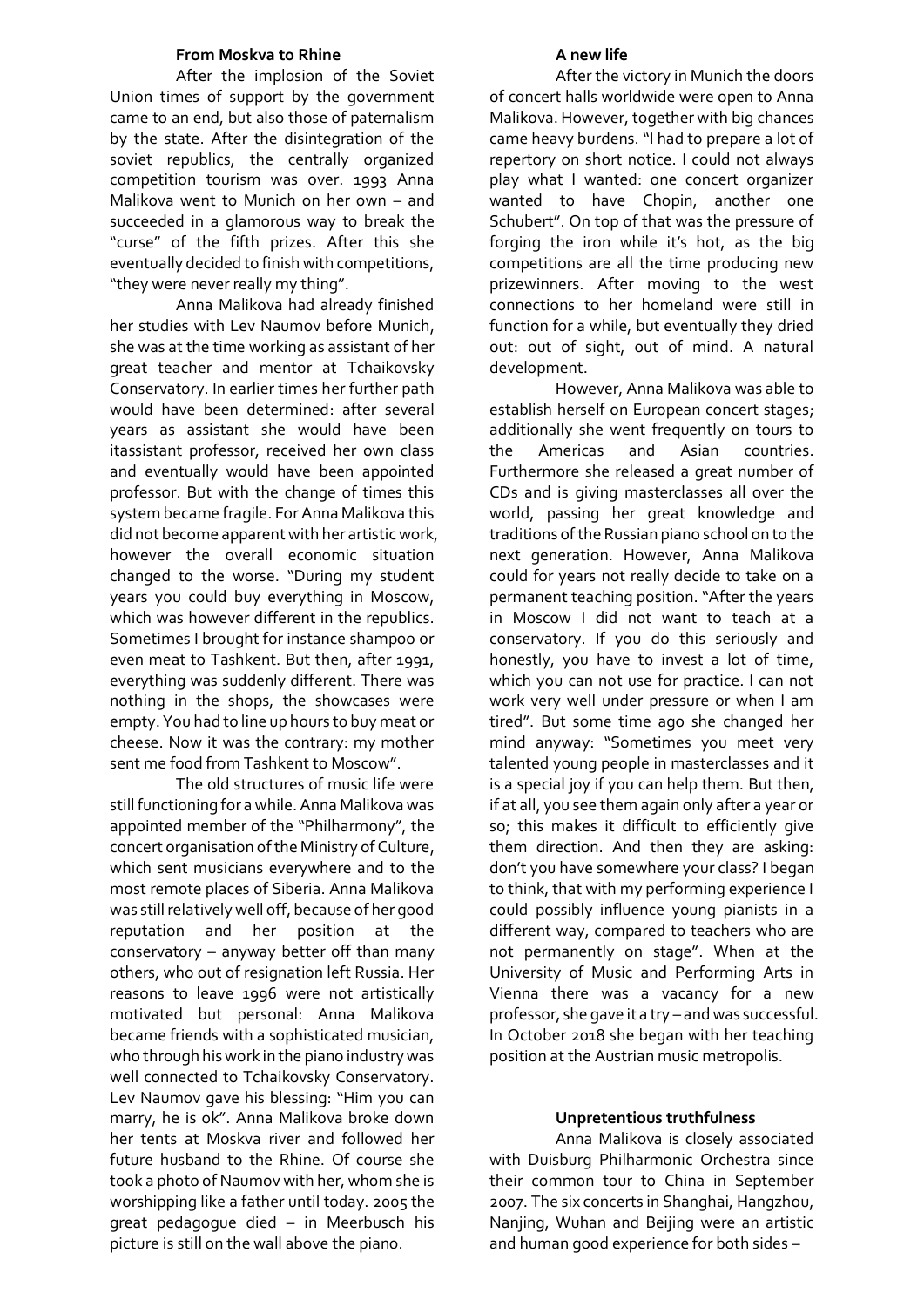## **From Moskva to Rhine**

After the implosion of the Soviet Union times of support by the government came to an end, but also those of paternalism by the state. After the disintegration of the soviet republics, the centrally organized competition tourism was over. 1993 Anna Malikova went to Munich on her own – and succeeded in a glamorous way to break the "curse" of the fifth prizes. After this she eventually decided to finish with competitions, "they were never really my thing".

Anna Malikova had already finished her studies with Lev Naumov before Munich, she was at the time working as assistant of her great teacher and mentor at Tchaikovsky Conservatory. In earlier times her further path would have been determined: after several years as assistant she would have been itassistant professor, received her own class and eventually would have been appointed professor. But with the change of times this system became fragile. For Anna Malikova this did not become apparent with her artistic work, however the overall economic situation changed to the worse. "During my student years you could buy everything in Moscow, which was however different in the republics. Sometimes I brought for instance shampoo or even meat to Tashkent. But then, after 1991, everything was suddenly different. There was nothing in the shops, the showcases were empty. You had to line up hours to buy meat or cheese. Now it was the contrary: my mother sent me food from Tashkent to Moscow".

The old structures of music life were still functioning for a while. Anna Malikova was appointed member of the "Philharmony", the concert organisation of the Ministry of Culture, which sent musicians everywhere and to the most remote places of Siberia. Anna Malikova was still relatively well off, because of her good reputation and her position at the conservatory – anyway better off than many others, who out of resignation left Russia. Her reasons to leave 1996 were not artistically motivated but personal: Anna Malikova became friends with a sophisticated musician, who through his work in the piano industry was well connected to Tchaikovsky Conservatory. Lev Naumov gave his blessing: "Him you can marry, he is ok". Anna Malikova broke down her tents at Moskva river and followed her future husband to the Rhine. Of course she took a photo of Naumov with her, whom she is worshipping like a father until today. 2005 the great pedagogue died – in Meerbusch his picture is still on the wall above the piano.

## **A new life**

After the victory in Munich the doors of concert halls worldwide were open to Anna Malikova. However, together with big chances came heavy burdens. "I had to prepare a lot of repertory on short notice. I could not always play what I wanted: one concert organizer wanted to have Chopin, another one Schubert". On top of that was the pressure of forging the iron while it's hot, as the big competitions are all the time producing new prizewinners. After moving to the west connections to her homeland were still in function for a while, but eventually they dried out: out of sight, out of mind. A natural development.

However, Anna Malikova was able to establish herself on European concert stages; additionally she went frequently on tours to the Americas and Asian countries. Furthermore she released a great number of CDs and is giving masterclasses all over the world, passing her great knowledge and traditions of the Russian piano school on to the next generation. However, Anna Malikova could for years not really decide to take on a permanent teaching position. "After the years in Moscow I did not want to teach at a conservatory. If you do this seriously and honestly, you have to invest a lot of time, which you can not use for practice. I can not work very well under pressure or when I am tired". But some time ago she changed her mind anyway: "Sometimes you meet very talented young people in masterclasses and it is a special joy if you can help them. But then, if at all, you see them again only after a year or so; this makes it difficult to efficiently give them direction. And then they are asking: don't you have somewhere your class? I began to think, that with my performing experience I could possibly influence young pianists in a different way, compared to teachers who are not permanently on stage". When at the University of Music and Performing Arts in Vienna there was a vacancy for a new professor, she gave it a try – and was successful. In October 2018 she began with her teaching position at the Austrian music metropolis.

#### **Unpretentious truthfulness**

Anna Malikova is closely associated with Duisburg Philharmonic Orchestra since their common tour to China in September 2007. The six concerts in Shanghai, Hangzhou, Nanjing, Wuhan and Beijing were an artistic and human good experience for both sides –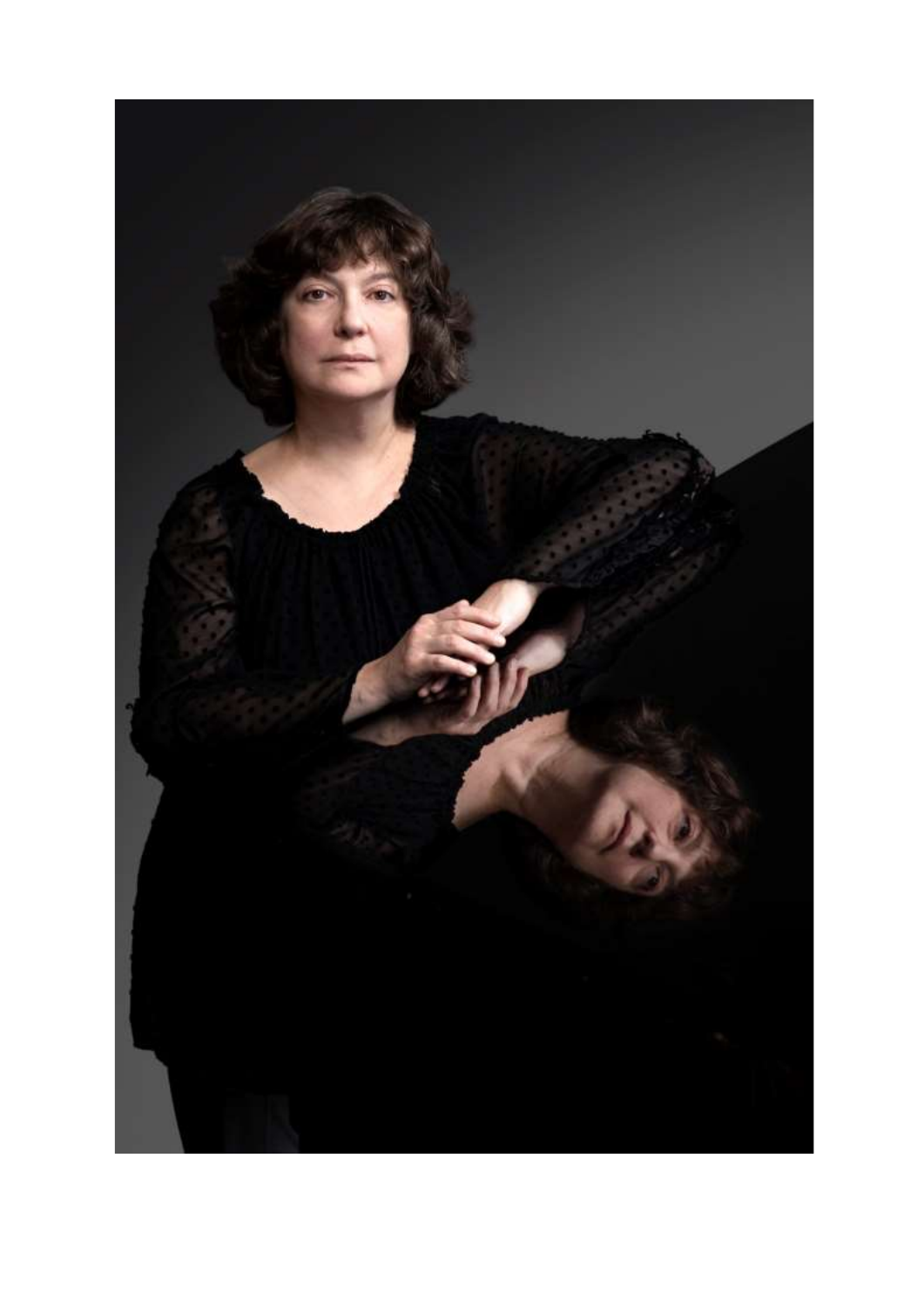